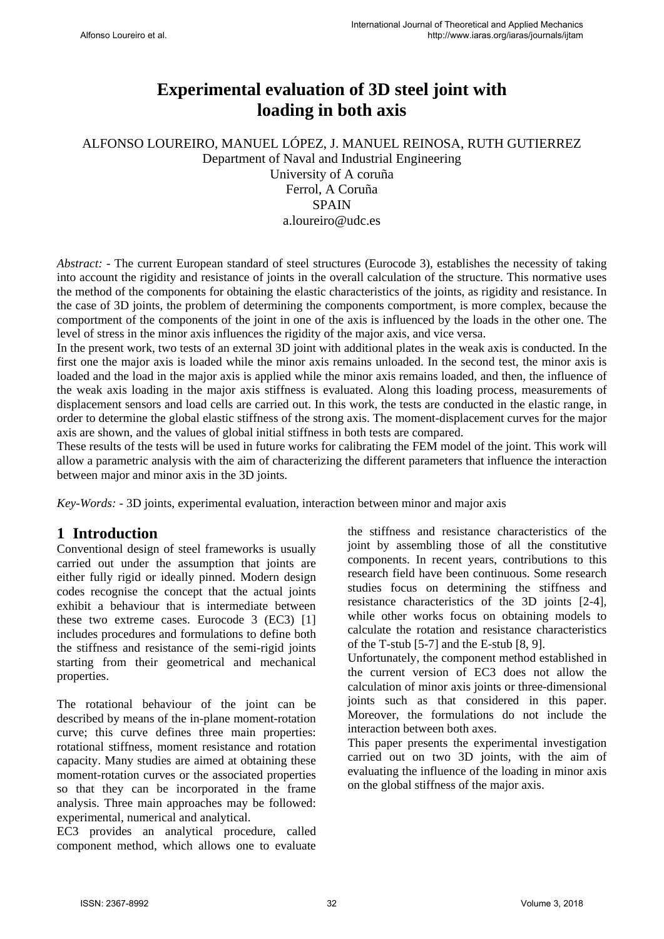# **Experimental evaluation of 3D steel joint with loading in both axis**

ALFONSO LOUREIRO, MANUEL LÓPEZ, J. MANUEL REINOSA, RUTH GUTIERREZ Department of Naval and Industrial Engineering

University of A coruña Ferrol, A Coruña **SPAIN** a.loureiro@udc.es

*Abstract:* - The current European standard of steel structures (Eurocode 3), establishes the necessity of taking into account the rigidity and resistance of joints in the overall calculation of the structure. This normative uses the method of the components for obtaining the elastic characteristics of the joints, as rigidity and resistance. In the case of 3D joints, the problem of determining the components comportment, is more complex, because the comportment of the components of the joint in one of the axis is influenced by the loads in the other one. The level of stress in the minor axis influences the rigidity of the major axis, and vice versa.

In the present work, two tests of an external 3D joint with additional plates in the weak axis is conducted. In the first one the major axis is loaded while the minor axis remains unloaded. In the second test, the minor axis is loaded and the load in the major axis is applied while the minor axis remains loaded, and then, the influence of the weak axis loading in the major axis stiffness is evaluated. Along this loading process, measurements of displacement sensors and load cells are carried out. In this work, the tests are conducted in the elastic range, in order to determine the global elastic stiffness of the strong axis. The moment-displacement curves for the major axis are shown, and the values of global initial stiffness in both tests are compared.

These results of the tests will be used in future works for calibrating the FEM model of the joint. This work will allow a parametric analysis with the aim of characterizing the different parameters that influence the interaction between major and minor axis in the 3D joints.

*Key-Words: -* 3D joints, experimental evaluation, interaction between minor and major axis

# **1 Introduction**

Conventional design of steel frameworks is usually carried out under the assumption that joints are either fully rigid or ideally pinned. Modern design codes recognise the concept that the actual joints exhibit a behaviour that is intermediate between these two extreme cases. Eurocode 3 (EC3) [1] includes procedures and formulations to define both the stiffness and resistance of the semi-rigid joints starting from their geometrical and mechanical properties.

The rotational behaviour of the joint can be described by means of the in-plane moment-rotation curve; this curve defines three main properties: rotational stiffness, moment resistance and rotation capacity. Many studies are aimed at obtaining these moment-rotation curves or the associated properties so that they can be incorporated in the frame analysis. Three main approaches may be followed: experimental, numerical and analytical.

EC3 provides an analytical procedure, called component method, which allows one to evaluate the stiffness and resistance characteristics of the joint by assembling those of all the constitutive components. In recent years, contributions to this research field have been continuous. Some research studies focus on determining the stiffness and resistance characteristics of the 3D joints [2-4], while other works focus on obtaining models to calculate the rotation and resistance characteristics of the T-stub [5-7] and the E-stub [8, 9].

Unfortunately, the component method established in the current version of EC3 does not allow the calculation of minor axis joints or three-dimensional joints such as that considered in this paper. Moreover, the formulations do not include the interaction between both axes.

This paper presents the experimental investigation carried out on two 3D joints, with the aim of evaluating the influence of the loading in minor axis on the global stiffness of the major axis.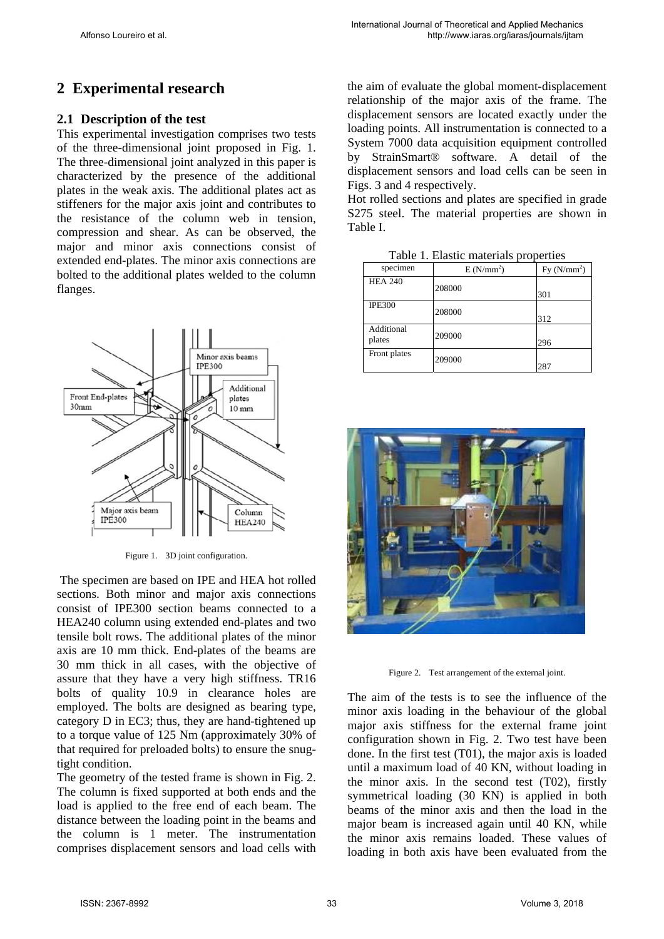# **2 Experimental research**

## **2.1 Description of the test**

This experimental investigation comprises two tests of the three-dimensional joint proposed in Fig. 1. The three-dimensional joint analyzed in this paper is characterized by the presence of the additional plates in the weak axis. The additional plates act as stiffeners for the major axis joint and contributes to the resistance of the column web in tension, compression and shear. As can be observed, the major and minor axis connections consist of extended end-plates. The minor axis connections are bolted to the additional plates welded to the column flanges.



Figure 1. 3D joint configuration.

 The specimen are based on IPE and HEA hot rolled sections. Both minor and major axis connections consist of IPE300 section beams connected to a HEA240 column using extended end-plates and two tensile bolt rows. The additional plates of the minor axis are 10 mm thick. End-plates of the beams are 30 mm thick in all cases, with the objective of assure that they have a very high stiffness. TR16 bolts of quality 10.9 in clearance holes are employed. The bolts are designed as bearing type, category D in EC3; thus, they are hand-tightened up to a torque value of 125 Nm (approximately 30% of that required for preloaded bolts) to ensure the snugtight condition.

The geometry of the tested frame is shown in Fig. 2. The column is fixed supported at both ends and the load is applied to the free end of each beam. The distance between the loading point in the beams and the column is 1 meter. The instrumentation comprises displacement sensors and load cells with

the aim of evaluate the global moment-displacement relationship of the major axis of the frame. The displacement sensors are located exactly under the loading points. All instrumentation is connected to a System 7000 data acquisition equipment controlled by StrainSmart® software. A detail of the displacement sensors and load cells can be seen in Figs. 3 and 4 respectively.

Hot rolled sections and plates are specified in grade S275 steel. The material properties are shown in Table I.

| Table 1. Lastic materials properties |                       |               |  |  |  |
|--------------------------------------|-----------------------|---------------|--|--|--|
| specimen                             | E(N/mm <sup>2</sup> ) | Fy $(N/mm^2)$ |  |  |  |
| <b>HEA 240</b>                       | 208000                | 301           |  |  |  |
| <b>IPE300</b>                        | 208000                | 312           |  |  |  |
| Additional<br>plates                 | 209000                | 296           |  |  |  |
| Front plates                         | 209000                | 287           |  |  |  |

Table 1. Elastic materials properties



Figure 2. Test arrangement of the external joint.

The aim of the tests is to see the influence of the minor axis loading in the behaviour of the global major axis stiffness for the external frame joint configuration shown in Fig. 2. Two test have been done. In the first test (T01), the major axis is loaded until a maximum load of 40 KN, without loading in the minor axis. In the second test (T02), firstly symmetrical loading (30 KN) is applied in both beams of the minor axis and then the load in the major beam is increased again until 40 KN, while the minor axis remains loaded. These values of loading in both axis have been evaluated from the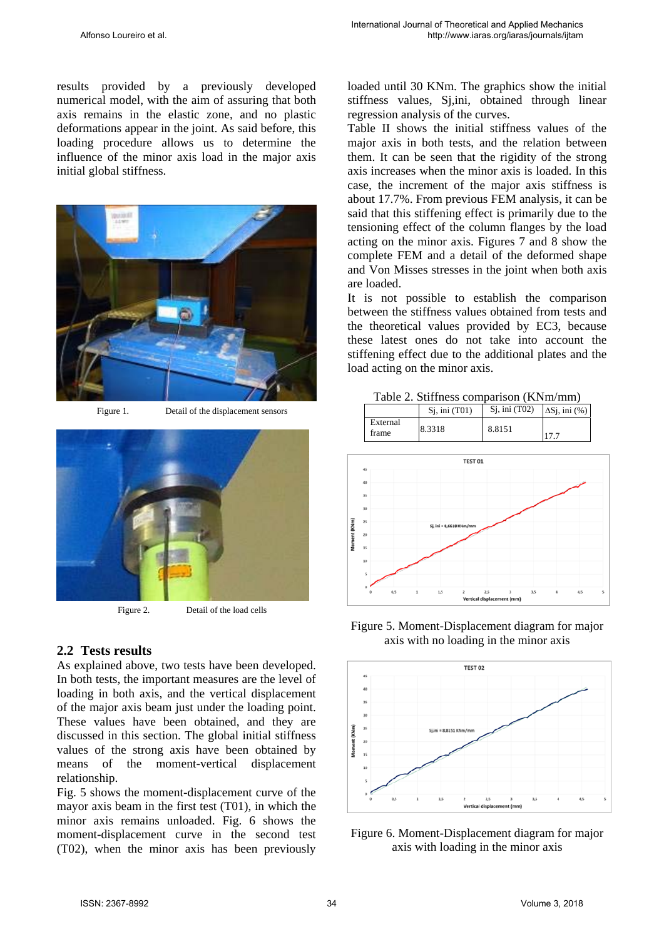results provided by a previously developed numerical model, with the aim of assuring that both axis remains in the elastic zone, and no plastic deformations appear in the joint. As said before, this loading procedure allows us to determine the influence of the minor axis load in the major axis initial global stiffness.



Figure 1. Detail of the displacement sensors



Figure 2. Detail of the load cells

### **2.2 Tests results**

As explained above, two tests have been developed. In both tests, the important measures are the level of loading in both axis, and the vertical displacement of the major axis beam just under the loading point. These values have been obtained, and they are discussed in this section. The global initial stiffness values of the strong axis have been obtained by means of the moment-vertical displacement relationship.

Fig. 5 shows the moment-displacement curve of the mayor axis beam in the first test (T01), in which the minor axis remains unloaded. Fig. 6 shows the moment-displacement curve in the second test (T02), when the minor axis has been previously loaded until 30 KNm. The graphics show the initial stiffness values, Sj,ini, obtained through linear regression analysis of the curves.

Table II shows the initial stiffness values of the major axis in both tests, and the relation between them. It can be seen that the rigidity of the strong axis increases when the minor axis is loaded. In this case, the increment of the major axis stiffness is about 17.7%. From previous FEM analysis, it can be said that this stiffening effect is primarily due to the tensioning effect of the column flanges by the load acting on the minor axis. Figures 7 and 8 show the complete FEM and a detail of the deformed shape and Von Misses stresses in the joint when both axis are loaded.

It is not possible to establish the comparison between the stiffness values obtained from tests and the theoretical values provided by EC3, because these latest ones do not take into account the stiffening effect due to the additional plates and the load acting on the minor axis.

|  | Table 2. Stiffness comparison (KNm/mm) |  |
|--|----------------------------------------|--|
|  |                                        |  |





Figure 5. Moment-Displacement diagram for major axis with no loading in the minor axis



Figure 6. Moment-Displacement diagram for major axis with loading in the minor axis